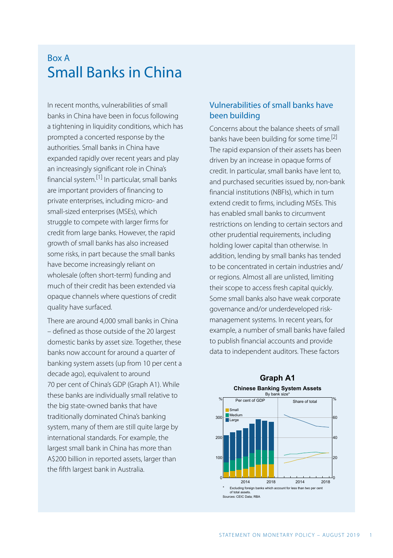# Box A Small Banks in China

In recent months, vulnerabilities of small banks in China have been in focus following a tightening in liquidity conditions, which has prompted a concerted response by the authorities. Small banks in China have expanded rapidly over recent years and play an increasingly significant role in China's financial system.[1] In particular, small banks are important providers of financing to private enterprises, including micro- and small-sized enterprises (MSEs), which struggle to compete with larger firms for credit from large banks. However, the rapid growth of small banks has also increased some risks, in part because the small banks have become increasingly reliant on wholesale (often short-term) funding and much of their credit has been extended via opaque channels where questions of credit quality have surfaced.

There are around 4,000 small banks in China – defined as those outside of the 20 largest domestic banks by asset size. Together, these banks now account for around a quarter of banking system assets (up from 10 per cent a decade ago), equivalent to around 70 per cent of China's GDP (Graph A1). While these banks are individually small relative to the big state-owned banks that have traditionally dominated China's banking system, many of them are still quite large by international standards. For example, the largest small bank in China has more than A\$200 billion in reported assets, larger than the fifth largest bank in Australia.

## Vulnerabilities of small banks have been building

Concerns about the balance sheets of small banks have been building for some time.<sup>[2]</sup> The rapid expansion of their assets has been driven by an increase in opaque forms of credit. In particular, small banks have lent to, and purchased securities issued by, non-bank financial institutions (NBFIs), which in turn extend credit to firms, including MSEs. This has enabled small banks to circumvent restrictions on lending to certain sectors and other prudential requirements, including holding lower capital than otherwise. In addition, lending by small banks has tended to be concentrated in certain industries and/ or regions. Almost all are unlisted, limiting their scope to access fresh capital quickly. Some small banks also have weak corporate governance and/or underdeveloped riskmanagement systems. In recent years, for example, a number of small banks have failed to publish financial accounts and provide data to independent auditors. These factors



### **Graph A1 Chinese Banking System Assets**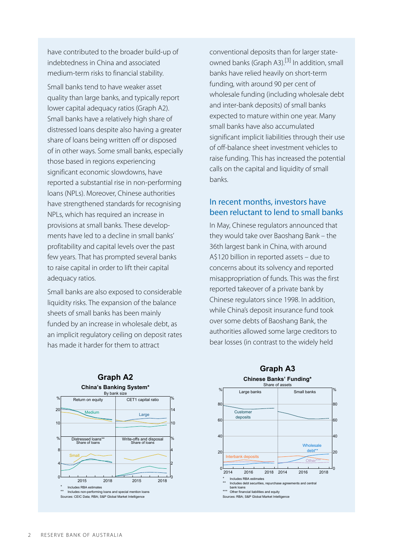have contributed to the broader build-up of indebtedness in China and associated medium-term risks to financial stability.

Small banks tend to have weaker asset quality than large banks, and typically report lower capital adequacy ratios (Graph A2). Small banks have a relatively high share of distressed loans despite also having a greater share of loans being written off or disposed of in other ways. Some small banks, especially those based in regions experiencing significant economic slowdowns, have reported a substantial rise in non-performing loans (NPLs). Moreover, Chinese authorities have strengthened standards for recognising NPLs, which has required an increase in provisions at small banks. These developments have led to a decline in small banks' profitability and capital levels over the past few years. That has prompted several banks to raise capital in order to lift their capital adequacy ratios.

Small banks are also exposed to considerable liquidity risks. The expansion of the balance sheets of small banks has been mainly funded by an increase in wholesale debt, as an implicit regulatory ceiling on deposit rates has made it harder for them to attract

conventional deposits than for larger stateowned banks (Graph A3).<sup>[3]</sup> In addition, small banks have relied heavily on short-term funding, with around 90 per cent of wholesale funding (including wholesale debt and inter-bank deposits) of small banks expected to mature within one year. Many small banks have also accumulated significant implicit liabilities through their use of off-balance sheet investment vehicles to raise funding. This has increased the potential calls on the capital and liquidity of small banks.

### In recent months, investors have been reluctant to lend to small banks

In May, Chinese regulators announced that they would take over Baoshang Bank – the 36th largest bank in China, with around A\$120 billion in reported assets – due to concerns about its solvency and reported misappropriation of funds. This was the first reported takeover of a private bank by Chinese regulators since 1998. In addition, while China's deposit insurance fund took over some debts of Baoshang Bank, the authorities allowed some large creditors to bear losses (in contrast to the widely held





# **Graph A3**



0

20

**Wholesale** 

40

 $\delta$ 80 %

Other financial liabilities and equity

40

60 80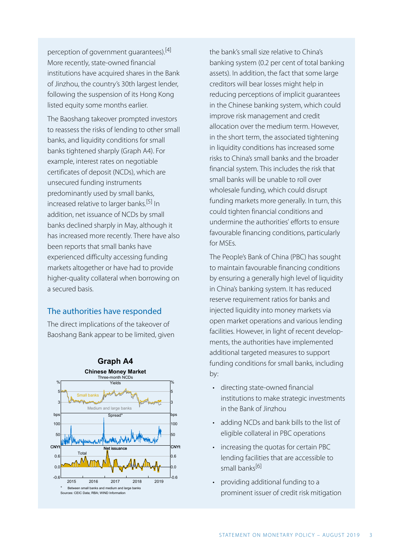perception of government guarantees).[4] More recently, state-owned financial institutions have acquired shares in the Bank of Jinzhou, the country's 30th largest lender, following the suspension of its Hong Kong listed equity some months earlier.

The Baoshang takeover prompted investors to reassess the risks of lending to other small banks, and liquidity conditions for small banks tightened sharply (Graph A4). For example, interest rates on negotiable certificates of deposit (NCDs), which are unsecured funding instruments predominantly used by small banks, increased relative to larger banks.<sup>[5]</sup> In addition, net issuance of NCDs by small banks declined sharply in May, although it has increased more recently. There have also been reports that small banks have experienced difficulty accessing funding markets altogether or have had to provide higher-quality collateral when borrowing on a secured basis.

#### The authorities have responded

The direct implications of the takeover of Baoshang Bank appear to be limited, given



the bank's small size relative to China's banking system (0.2 per cent of total banking assets). In addition, the fact that some large creditors will bear losses might help in reducing perceptions of implicit guarantees in the Chinese banking system, which could improve risk management and credit allocation over the medium term. However, in the short term, the associated tightening in liquidity conditions has increased some risks to China's small banks and the broader financial system. This includes the risk that small banks will be unable to roll over wholesale funding, which could disrupt funding markets more generally. In turn, this could tighten financial conditions and undermine the authorities' efforts to ensure favourable financing conditions, particularly for MSEs.

The People's Bank of China (PBC) has sought to maintain favourable financing conditions by ensuring a generally high level of liquidity in China's banking system. It has reduced reserve requirement ratios for banks and injected liquidity into money markets via open market operations and various lending facilities. However, in light of recent developments, the authorities have implemented additional targeted measures to support funding conditions for small banks, including by:

- directing state-owned financial institutions to make strategic investments in the Bank of Jinzhou
- adding NCDs and bank bills to the list of eligible collateral in PBC operations
- increasing the quotas for certain PBC lending facilities that are accessible to small banks[6]
- providing additional funding to a prominent issuer of credit risk mitigation